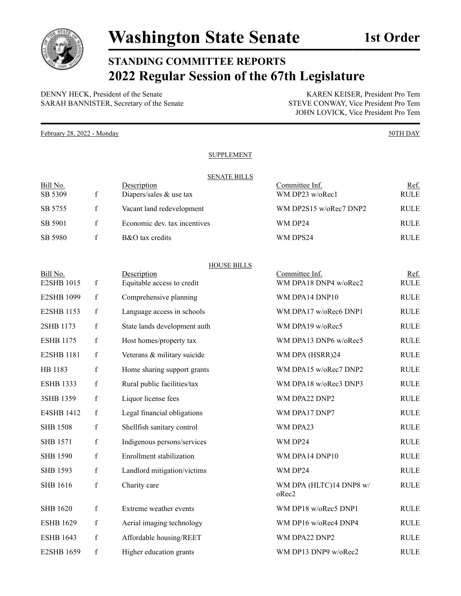

## **STANDING COMMITTEE REPORTS 2022 Regular Session of the 67th Legislature**

DENNY HECK, President of the Senate<br>
SARAH BANNISTER, Secretary of the Senate<br>
STEVE CONWAY, Vice President Pro Tem SARAH BANNISTER, Secretary of the Senate

JOHN LOVICK, Vice President Pro Tem

February 28, 2022 - Monday 50TH DAY

## **SUPPLEMENT**

## SENATE BILLS

| Bill No. |   | Description                  | Committee Inf.         | Ref.        |
|----------|---|------------------------------|------------------------|-------------|
| SB 5309  |   | Diapers/sales $&$ use tax    | WM DP23 $w/oRec1$      | <b>RULE</b> |
| SB 5755  |   | Vacant land redevelopment    | WM DP2S15 w/oRec7 DNP2 | <b>RULE</b> |
| SB 5901  | f | Economic dev. tax incentives | WM DP24                | <b>RULE</b> |
| SB 5980  |   | B&O tax credits              | WM DPS24               | <b>RULE</b> |

## HOUSE BILLS

| Bill No.<br>E2SHB 1015 | $\mathbf f$ | Description<br>Equitable access to credit | Committee Inf.<br>WM DPA18 DNP4 w/oRec2 | Ref.<br><b>RULE</b> |
|------------------------|-------------|-------------------------------------------|-----------------------------------------|---------------------|
| <b>E2SHB 1099</b>      | $\mathbf f$ | Comprehensive planning                    | WM DPA14 DNP10                          | <b>RULE</b>         |
| E2SHB 1153             | $\mathbf f$ | Language access in schools                | WM DPA17 w/oRec6 DNP1                   | <b>RULE</b>         |
| 2SHB 1173              | $\mathbf f$ | State lands development auth              | WM DPA19 w/oRec5                        | <b>RULE</b>         |
| <b>ESHB 1175</b>       | $\mathbf f$ | Host homes/property tax                   | WM DPA13 DNP6 w/oRec5                   | <b>RULE</b>         |
| <b>E2SHB 1181</b>      | $\mathbf f$ | Veterans & military suicide               | WM DPA (HSRR)24                         | <b>RULE</b>         |
| HB 1183                | $\mathbf f$ | Home sharing support grants               | WM DPA15 w/oRec7 DNP2                   | <b>RULE</b>         |
| <b>ESHB 1333</b>       | $\mathbf f$ | Rural public facilities/tax               | WM DPA18 w/oRec3 DNP3                   | <b>RULE</b>         |
| 3SHB 1359              | $\mathbf f$ | Liquor license fees                       | WM DPA22 DNP2                           | <b>RULE</b>         |
| E4SHB 1412             | $\mathbf f$ | Legal financial obligations               | WM DPA17 DNP7                           | <b>RULE</b>         |
| <b>SHB 1508</b>        | $\mathbf f$ | Shellfish sanitary control                | WM DPA23                                | <b>RULE</b>         |
| <b>SHB 1571</b>        | $\mathbf f$ | Indigenous persons/services               | WM DP24                                 | <b>RULE</b>         |
| <b>SHB 1590</b>        | $\mathbf f$ | Enrollment stabilization                  | WM DPA14 DNP10                          | <b>RULE</b>         |
| <b>SHB 1593</b>        | $\mathbf f$ | Landlord mitigation/victims               | WM DP24                                 | <b>RULE</b>         |
| <b>SHB 1616</b>        | $\mathbf f$ | Charity care                              | WM DPA (HLTC)14 DNP8 w/<br>oRec2        | <b>RULE</b>         |
| <b>SHB 1620</b>        | $\mathbf f$ | Extreme weather events                    | WM DP18 w/oRec5 DNP1                    | <b>RULE</b>         |
| <b>ESHB 1629</b>       | $\mathbf f$ | Aerial imaging technology                 | WM DP16 w/oRec4 DNP4                    | <b>RULE</b>         |
| <b>ESHB 1643</b>       | $\mathbf f$ | Affordable housing/REET                   | WM DPA22 DNP2                           | <b>RULE</b>         |
| <b>E2SHB 1659</b>      | $\mathbf f$ | Higher education grants                   | WM DP13 DNP9 w/oRec2                    | <b>RULE</b>         |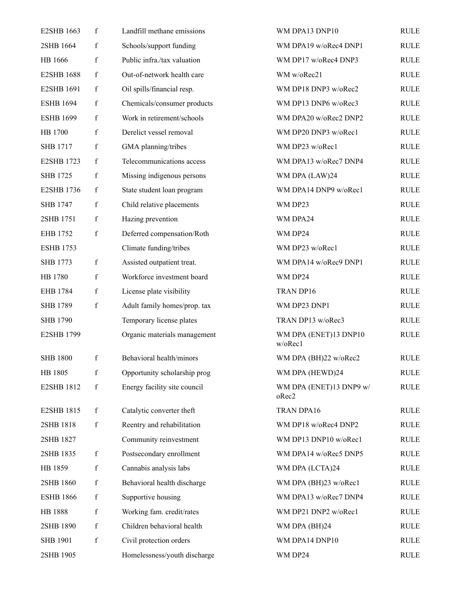| E2SHB 1663        | f           | Landfill methane emissions   | WM DPA13 DNP10                   | <b>RULE</b> |
|-------------------|-------------|------------------------------|----------------------------------|-------------|
| 2SHB 1664         | $\mathbf f$ | Schools/support funding      | WM DPA19 w/oRec4 DNP1            | <b>RULE</b> |
| HB 1666           | $\mathbf f$ | Public infra./tax valuation  | WM DP17 w/oRec4 DNP3             | <b>RULE</b> |
| <b>E2SHB 1688</b> | $\mathbf f$ | Out-of-network health care   | WM w/oRec21                      | <b>RULE</b> |
| <b>E2SHB 1691</b> | $\mathbf f$ | Oil spills/financial resp.   | WM DP18 DNP3 w/oRec2             | <b>RULE</b> |
| <b>ESHB 1694</b>  | $\mathbf f$ | Chemicals/consumer products  | WM DP13 DNP6 w/oRec3             | <b>RULE</b> |
| <b>ESHB 1699</b>  | $\mathbf f$ | Work in retirement/schools   | WM DPA20 w/oRec2 DNP2            | <b>RULE</b> |
| HB 1700           | $\mathbf f$ | Derelict vessel removal      | WM DP20 DNP3 w/oRec1             | <b>RULE</b> |
| <b>SHB 1717</b>   | $\mathbf f$ | GMA planning/tribes          | WM DP23 w/oRec1                  | <b>RULE</b> |
| E2SHB 1723        | $\mathbf f$ | Telecommunications access    | WM DPA13 w/oRec7 DNP4            | <b>RULE</b> |
| <b>SHB 1725</b>   | $\mathbf f$ | Missing indigenous persons   | WM DPA (LAW)24                   | <b>RULE</b> |
| <b>E2SHB 1736</b> | $\mathbf f$ | State student loan program   | WM DPA14 DNP9 w/oRec1            | <b>RULE</b> |
| <b>SHB 1747</b>   | f           | Child relative placements    | WM DP23                          | <b>RULE</b> |
| 2SHB 1751         | $\mathbf f$ | Hazing prevention            | WM DPA24                         | <b>RULE</b> |
| EHB 1752          | $\mathbf f$ | Deferred compensation/Roth   | WM DP24                          | <b>RULE</b> |
| <b>ESHB 1753</b>  |             | Climate funding/tribes       | WM DP23 w/oRec1                  | <b>RULE</b> |
| <b>SHB 1773</b>   | $\mathbf f$ | Assisted outpatient treat.   | WM DPA14 w/oRec9 DNP1            | <b>RULE</b> |
| HB 1780           | $\mathbf f$ | Workforce investment board   | WM DP24                          | <b>RULE</b> |
| EHB 1784          | $\mathbf f$ | License plate visibility     | TRAN DP16                        | <b>RULE</b> |
| <b>SHB 1789</b>   | $\mathbf f$ | Adult family homes/prop. tax | WM DP23 DNP1                     | <b>RULE</b> |
| <b>SHB 1790</b>   |             | Temporary license plates     | TRAN DP13 w/oRec3                | <b>RULE</b> |
| <b>E2SHB 1799</b> |             | Organic materials management | WM DPA (ENET)13 DNP10<br>w/oRec1 | <b>RULE</b> |
| <b>SHB 1800</b>   | f           | Behavioral health/minors     | WM DPA (BH)22 w/oRec2            | <b>RULE</b> |
| HB 1805           | f           | Opportunity scholarship prog | WM DPA (HEWD)24                  | <b>RULE</b> |
| E2SHB 1812        | $\mathbf f$ | Energy facility site council | WM DPA (ENET)13 DNP9 w/<br>oRec2 | <b>RULE</b> |
| E2SHB 1815        | $\mathbf f$ | Catalytic converter theft    | TRAN DPA16                       | <b>RULE</b> |
| 2SHB 1818         | $\mathbf f$ | Reentry and rehabilitation   | WM DP18 w/oRec4 DNP2             | <b>RULE</b> |
| 2SHB 1827         |             | Community reinvestment       | WM DP13 DNP10 w/oRec1            | <b>RULE</b> |
| 2SHB 1835         | $\mathbf f$ | Postsecondary enrollment     | WM DPA14 w/oRec5 DNP5            | <b>RULE</b> |
| HB 1859           | $\mathbf f$ | Cannabis analysis labs       | WM DPA (LCTA)24                  | <b>RULE</b> |
| 2SHB 1860         | $\mathbf f$ | Behavioral health discharge  | WM DPA (BH)23 w/oRec1            | <b>RULE</b> |
| <b>ESHB 1866</b>  | $\mathbf f$ | Supportive housing           | WM DPA13 w/oRec7 DNP4            | <b>RULE</b> |
| HB 1888           | $\mathbf f$ | Working fam. credit/rates    | WM DP21 DNP2 w/oRec1             | <b>RULE</b> |
| 2SHB 1890         | $\mathbf f$ | Children behavioral health   | WM DPA (BH)24                    | <b>RULE</b> |
| <b>SHB 1901</b>   | $\mathbf f$ | Civil protection orders      | WM DPA14 DNP10                   | <b>RULE</b> |
| 2SHB 1905         |             | Homelessness/youth discharge | WM DP24                          | <b>RULE</b> |